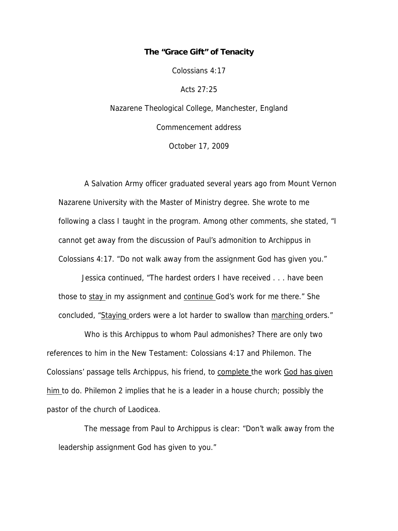# **The "Grace Gift" of Tenacity**

Colossians 4:17

Acts 27:25

Nazarene Theological College, Manchester, England Commencement address October 17, 2009

 A Salvation Army officer graduated several years ago from Mount Vernon Nazarene University with the Master of Ministry degree. She wrote to me following a class I taught in the program. Among other comments, she stated, "I cannot get away from the discussion of Paul's admonition to Archippus in Colossians 4:17. "Do not walk away from the assignment God has given you."

Jessica continued, "The hardest orders I have received . . . have been those to stay in my assignment and continue God's work for me there." She concluded, "Staying orders were a lot harder to swallow than marching orders."

 Who is this Archippus to whom Paul admonishes? There are only two references to him in the New Testament: Colossians 4:17 and Philemon. The Colossians' passage tells Archippus, his friend, to complete the work God has given him to do. Philemon 2 implies that he is a leader in a house church; possibly the pastor of the church of Laodicea.

 The message from Paul to Archippus is clear: "Don't walk away from the leadership assignment God has given to you."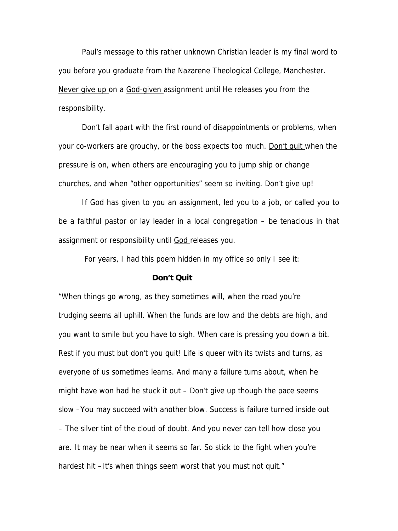Paul's message to this rather unknown Christian leader is my final word to you before you graduate from the Nazarene Theological College, Manchester. Never give up on a God-given assignment until He releases you from the responsibility.

Don't fall apart with the first round of disappointments or problems, when your co-workers are grouchy, or the boss expects too much. Don't quit when the pressure is on, when others are encouraging you to jump ship or change churches, and when "other opportunities" seem so inviting. Don't give up!

 If God has given to you an assignment, led you to a job, or called you to be a faithful pastor or lay leader in a local congregation – be tenacious in that assignment or responsibility until God releases you.

For years, I had this poem hidden in my office so only I see it:

## **Don't Quit**

"When things go wrong, as they sometimes will, when the road you're trudging seems all uphill. When the funds are low and the debts are high, and you want to smile but you have to sigh. When care is pressing you down a bit. Rest if you must but don't you quit! Life is queer with its twists and turns, as everyone of us sometimes learns. And many a failure turns about, when he might have won had he stuck it out – Don't give up though the pace seems slow –You may succeed with another blow. Success is failure turned inside out – The silver tint of the cloud of doubt. And you never can tell how close you are. It may be near when it seems so far. So stick to the fight when you're hardest hit –It's when things seem worst that you must not quit."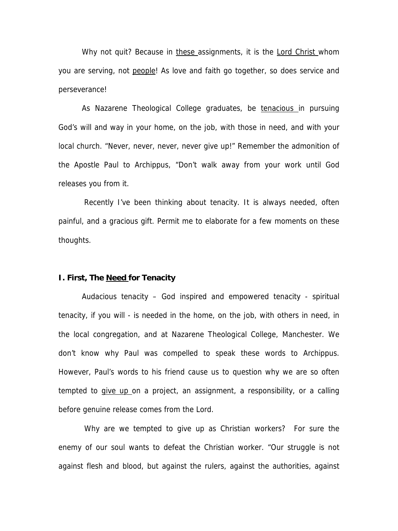Why not quit? Because in these assignments, it is the Lord Christ whom you are serving, not people! As love and faith go together, so does service and perseverance!

As Nazarene Theological College graduates, be tenacious in pursuing God's will and way in your home, on the job, with those in need, and with your local church. "Never, never, never, never give up!" Remember the admonition of the Apostle Paul to Archippus, "Don't walk away from your work until God releases you from it.

Recently I've been thinking about tenacity. It is always needed, often painful, and a gracious gift. Permit me to elaborate for a few moments on these thoughts.

#### **I. First, The Need for Tenacity**

Audacious tenacity – God inspired and empowered tenacity - spiritual tenacity, if you will - is needed in the home, on the job, with others in need, in the local congregation, and at Nazarene Theological College, Manchester. We don't know why Paul was compelled to speak these words to Archippus. However, Paul's words to his friend cause us to question why we are so often tempted to give up on a project, an assignment, a responsibility, or a calling before genuine release comes from the Lord.

 Why are we tempted to give up as Christian workers? For sure the enemy of our soul wants to defeat the Christian worker. "Our struggle is not against flesh and blood, but against the rulers, against the authorities, against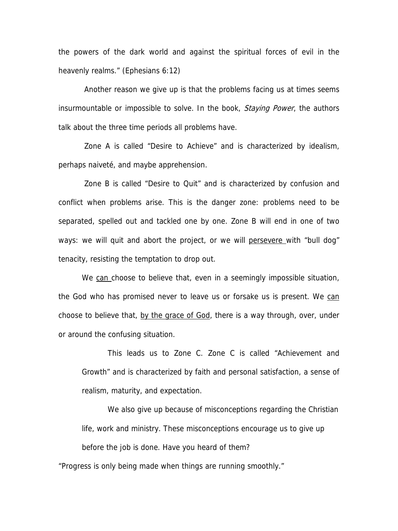the powers of the dark world and against the spiritual forces of evil in the heavenly realms." (Ephesians 6:12)

 Another reason we give up is that the problems facing us at times seems insurmountable or impossible to solve. In the book, Staying Power, the authors talk about the three time periods all problems have.

 Zone A is called "Desire to Achieve" and is characterized by idealism, perhaps naiveté, and maybe apprehension.

 Zone B is called "Desire to Quit" and is characterized by confusion and conflict when problems arise. This is the danger zone: problems need to be separated, spelled out and tackled one by one. Zone B will end in one of two ways: we will quit and abort the project, or we will persevere with "bull dog" tenacity, resisting the temptation to drop out.

We can choose to believe that, even in a seemingly impossible situation, the God who has promised never to leave us or forsake us is present. We can choose to believe that, by the grace of God, there is a way through, over, under or around the confusing situation.

 This leads us to Zone C. Zone C is called "Achievement and Growth" and is characterized by faith and personal satisfaction, a sense of realism, maturity, and expectation.

 We also give up because of misconceptions regarding the Christian life, work and ministry. These misconceptions encourage us to give up before the job is done. Have you heard of them?

"Progress is only being made when things are running smoothly."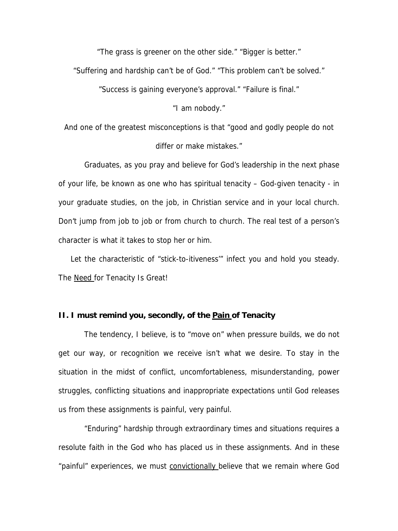"The grass is greener on the other side." "Bigger is better."

"Suffering and hardship can't be of God." "This problem can't be solved."

"Success is gaining everyone's approval." "Failure is final."

"I am nobody."

And one of the greatest misconceptions is that "good and godly people do not differ or make mistakes."

 Graduates, as you pray and believe for God's leadership in the next phase of your life, be known as one who has spiritual tenacity – God-given tenacity - in your graduate studies, on the job, in Christian service and in your local church. Don't jump from job to job or from church to church. The real test of a person's character is what it takes to stop her or him.

Let the characteristic of "stick-to-itiveness" infect you and hold you steady. The Need for Tenacity Is Great!

#### **II. I must remind you, secondly, of the Pain of Tenacity**

 The tendency, I believe, is to "move on" when pressure builds, we do not get our way, or recognition we receive isn't what we desire. To stay in the situation in the midst of conflict, uncomfortableness, misunderstanding, power struggles, conflicting situations and inappropriate expectations until God releases us from these assignments is painful, very painful.

 "Enduring" hardship through extraordinary times and situations requires a resolute faith in the God who has placed us in these assignments. And in these "painful" experiences, we must convictionally believe that we remain where God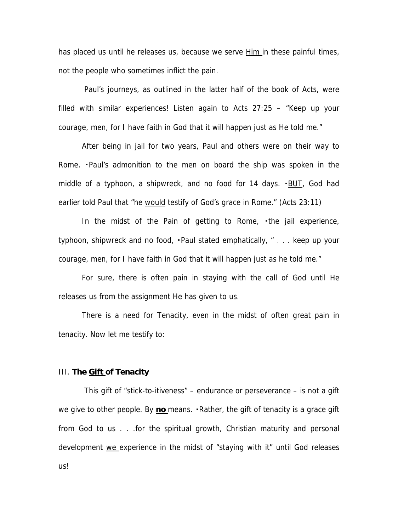has placed us until he releases us, because we serve **Him in these painful times**, not the people who sometimes inflict the pain.

 Paul's journeys, as outlined in the latter half of the book of Acts, were filled with similar experiences! Listen again to Acts 27:25 – "Keep up your courage, men, for I have faith in God that it will happen just as He told me."

 After being in jail for two years, Paul and others were on their way to Rome. Paul's admonition to the men on board the ship was spoken in the middle of a typhoon, a shipwreck, and no food for 14 days. ・BUT, God had earlier told Paul that "he would testify of God's grace in Rome." (Acts 23:11)

In the midst of the  $Pain$  of getting to Rome,  $\cdot$  the jail experience, typhoon, shipwreck and no food,  $\cdot$  Paul stated emphatically,  $\cdot$  ... keep up your courage, men, for I have faith in God that it will happen just as he told me."

For sure, there is often pain in staying with the call of God until He releases us from the assignment He has given to us.

There is a need for Tenacity, even in the midst of often great pain in tenacity. Now let me testify to:

#### III. **The Gift of Tenacity**

 This gift of "stick-to-itiveness" – endurance or perseverance – is not a gift we give to other people. By no means. Rather, the gift of tenacity is a grace gift from God to  $us$ . . .for the spiritual growth, Christian maturity and personal</u> development we experience in the midst of "staying with it" until God releases us!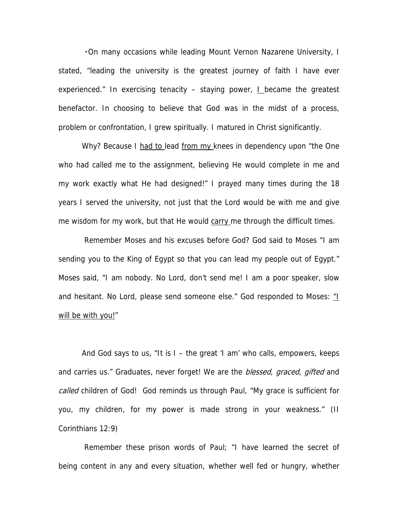. On many occasions while leading Mount Vernon Nazarene University, I stated, "leading the university is the greatest journey of faith I have ever experienced." In exercising tenacity – staying power, I became the greatest benefactor. In choosing to believe that God was in the midst of a process, problem or confrontation, I grew spiritually. I matured in Christ significantly.

Why? Because I had to lead from my knees in dependency upon "the One who had called me to the assignment, believing He would complete in me and my work exactly what He had designed!" I prayed many times during the 18 years I served the university, not just that the Lord would be with me and give me wisdom for my work, but that He would carry me through the difficult times.

 Remember Moses and his excuses before God? God said to Moses "I am sending you to the King of Egypt so that you can lead my people out of Egypt." Moses said, "I am nobody. No Lord, don't send me! I am a poor speaker, slow and hesitant. No Lord, please send someone else." God responded to Moses: "I will be with you!"

And God says to us, "It is I – the great 'I am' who calls, empowers, keeps and carries us." Graduates, never forget! We are the *blessed, graced, gifted* and called children of God! God reminds us through Paul, "My grace is sufficient for you, my children, for my power is made strong in your weakness." (II Corinthians 12:9)

 Remember these prison words of Paul; "I have learned the secret of being content in any and every situation, whether well fed or hungry, whether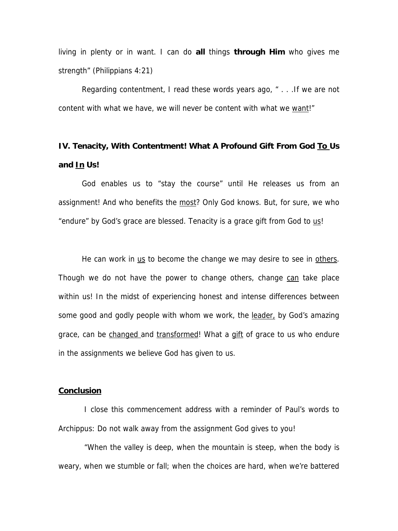living in plenty or in want. I can do **all** things **through Him** who gives me strength" (Philippians 4:21)

Regarding contentment, I read these words years ago, " . . .If we are not content with what we have, we will never be content with what we want!"

# **IV. Tenacity, With Contentment! What A Profound Gift From God To Us and In Us!**

God enables us to "stay the course" until He releases us from an assignment! And who benefits the most? Only God knows. But, for sure, we who "endure" by God's grace are blessed. Tenacity is a grace gift from God to us!

He can work in us to become the change we may desire to see in others. Though we do not have the power to change others, change can take place within us! In the midst of experiencing honest and intense differences between some good and godly people with whom we work, the leader, by God's amazing grace, can be changed and transformed! What a gift of grace to us who endure in the assignments we believe God has given to us.

## **Conclusion**

 I close this commencement address with a reminder of Paul's words to Archippus: Do not walk away from the assignment God gives to you!

 "When the valley is deep, when the mountain is steep, when the body is weary, when we stumble or fall; when the choices are hard, when we're battered